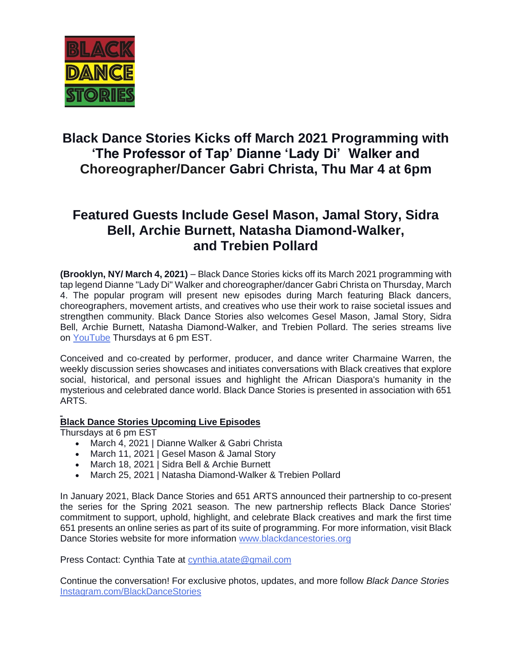

## **Black Dance Stories Kicks off March 2021 Programming with 'The Professor of Tap' Dianne 'Lady Di' Walker and Choreographer/Dancer Gabri Christa, Thu Mar 4 at 6pm**

## **Featured Guests Include Gesel Mason, Jamal Story, Sidra Bell, Archie Burnett, Natasha Diamond-Walker, and Trebien Pollard**

**(Brooklyn, NY/ March 4, 2021)** – Black Dance Stories kicks off its March 2021 programming with tap legend Dianne "Lady Di" Walker and choreographer/dancer Gabri Christa on Thursday, March 4. The popular program will present new episodes during March featuring Black dancers, choreographers, movement artists, and creatives who use their work to raise societal issues and strengthen community. Black Dance Stories also welcomes Gesel Mason, Jamal Story, Sidra Bell, Archie Burnett, Natasha Diamond-Walker, and Trebien Pollard. The series streams live on [YouTube](https://www.youtube.com/channel/UChAdMkDQCaGWCIaBoSZirTg/videos) Thursdays at 6 pm EST.

Conceived and co-created by performer, producer, and dance writer Charmaine Warren, the weekly discussion series showcases and initiates conversations with Black creatives that explore social, historical, and personal issues and highlight the African Diaspora's humanity in the mysterious and celebrated dance world. Black Dance Stories is presented in association with 651 ARTS.

## **Black Dance Stories Upcoming Live Episodes**

Thursdays at 6 pm EST

- March 4, 2021 | Dianne Walker & Gabri Christa
- March 11, 2021 | Gesel Mason & Jamal Story
- March 18, 2021 | Sidra Bell & Archie Burnett
- March 25, 2021 | Natasha Diamond-Walker & Trebien Pollard

In January 2021, Black Dance Stories and 651 ARTS announced their partnership to co-present the series for the Spring 2021 season. The new partnership reflects Black Dance Stories' commitment to support, uphold, highlight, and celebrate Black creatives and mark the first time 651 presents an online series as part of its suite of programming. For more information, visit Black Dance Stories website for more information [www.blackdancestories.org](http://www.blackdancestories.org/)

Press Contact: Cynthia Tate at [cynthia.atate@gmail.com](mailto:cynthia.atate@gmail.com)

Continue the conversation! For exclusive photos, updates, and more follow *Black Dance Stories* [Instagram.com/BlackDanceStories](https://www.instagram.com/blackdancestories/)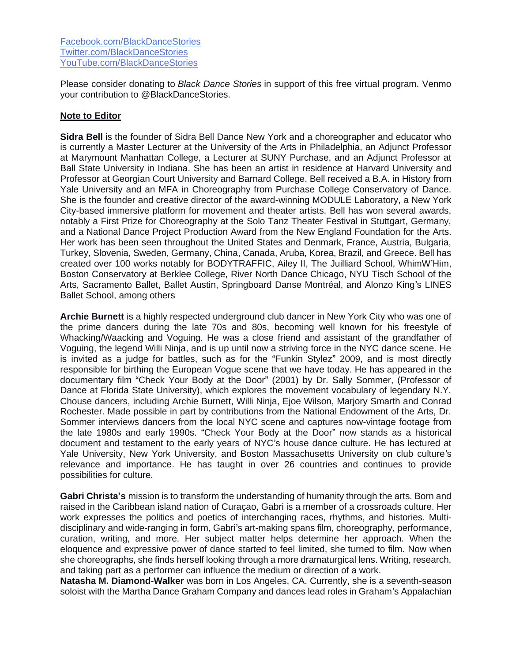Please consider donating to *Black Dance Stories* in support of this free virtual program. Venmo your contribution to @BlackDanceStories.

## **Note to Editor**

**Sidra Bell** is the founder of Sidra Bell Dance New York and a choreographer and educator who is currently a Master Lecturer at the University of the Arts in Philadelphia, an Adjunct Professor at Marymount Manhattan College, a Lecturer at SUNY Purchase, and an Adjunct Professor at Ball State University in Indiana. She has been an artist in residence at Harvard University and Professor at Georgian Court University and Barnard College. Bell received a B.A. in History from Yale University and an MFA in Choreography from Purchase College Conservatory of Dance. She is the founder and creative director of the award-winning MODULE Laboratory, a New York City-based immersive platform for movement and theater artists. Bell has won several awards, notably a First Prize for Choreography at the Solo Tanz Theater Festival in Stuttgart, Germany, and a National Dance Project Production Award from the New England Foundation for the Arts. Her work has been seen throughout the United States and Denmark, France, Austria, Bulgaria, Turkey, Slovenia, Sweden, Germany, China, Canada, Aruba, Korea, Brazil, and Greece. Bell has created over 100 works notably for BODYTRAFFIC, Ailey II, The Juilliard School, WhimW'Him, Boston Conservatory at Berklee College, River North Dance Chicago, NYU Tisch School of the Arts, Sacramento Ballet, Ballet Austin, Springboard Danse Montréal, and Alonzo King's LINES Ballet School, among others

**Archie Burnett** is a highly respected underground club dancer in New York City who was one of the prime dancers during the late 70s and 80s, becoming well known for his freestyle of Whacking/Waacking and Voguing. He was a close friend and assistant of the grandfather of Voguing, the legend Willi Ninja, and is up until now a striving force in the NYC dance scene. He is invited as a judge for battles, such as for the "Funkin Stylez" 2009, and is most directly responsible for birthing the European Vogue scene that we have today. He has appeared in the documentary film "Check Your Body at the Door" (2001) by Dr. Sally Sommer, (Professor of Dance at Florida State University), which explores the movement vocabulary of legendary N.Y. Chouse dancers, including Archie Burnett, Willi Ninja, Ejoe Wilson, Marjory Smarth and Conrad Rochester. Made possible in part by contributions from the National Endowment of the Arts, Dr. Sommer interviews dancers from the local NYC scene and captures now-vintage footage from the late 1980s and early 1990s. "Check Your Body at the Door" now stands as a historical document and testament to the early years of NYC's house dance culture. He has lectured at Yale University, New York University, and Boston Massachusetts University on club culture's relevance and importance. He has taught in over 26 countries and continues to provide possibilities for culture.

**Gabri Christa's** mission is to transform the understanding of humanity through the arts. Born and raised in the Caribbean island nation of Curaçao, Gabri is a member of a crossroads culture. Her work expresses the politics and poetics of interchanging races, rhythms, and histories. Multidisciplinary and wide-ranging in form, Gabri's art-making spans film, choreography, performance, curation, writing, and more. Her subject matter helps determine her approach. When the eloquence and expressive power of dance started to feel limited, she turned to film. Now when she choreographs, she finds herself looking through a more dramaturgical lens. Writing, research, and taking part as a performer can influence the medium or direction of a work.

**Natasha M. Diamond-Walker** was born in Los Angeles, CA. Currently, she is a seventh-season soloist with the Martha Dance Graham Company and dances lead roles in Graham's Appalachian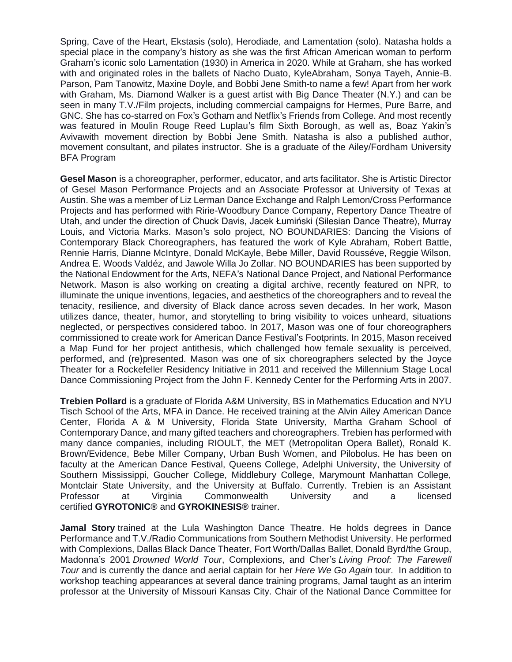Spring, Cave of the Heart, Ekstasis (solo), Herodiade, and Lamentation (solo). Natasha holds a special place in the company's history as she was the first African American woman to perform Graham's iconic solo Lamentation (1930) in America in 2020. While at Graham, she has worked with and originated roles in the ballets of Nacho Duato, KyleAbraham, Sonya Tayeh, Annie-B. Parson, Pam Tanowitz, Maxine Doyle, and Bobbi Jene Smith-to name a few! Apart from her work with Graham, Ms. Diamond Walker is a guest artist with Big Dance Theater (N.Y.) and can be seen in many T.V./Film projects, including commercial campaigns for Hermes, Pure Barre, and GNC. She has co-starred on Fox's Gotham and Netflix's Friends from College. And most recently was featured in Moulin Rouge Reed Luplau's film Sixth Borough, as well as, Boaz Yakin's Avivawith movement direction by Bobbi Jene Smith. Natasha is also a published author, movement consultant, and pilates instructor. She is a graduate of the Ailey/Fordham University BFA Program

**Gesel Mason** is a choreographer, performer, educator, and arts facilitator. She is Artistic Director of Gesel Mason Performance Projects and an Associate Professor at University of Texas at Austin. She was a member of Liz Lerman Dance Exchange and Ralph Lemon/Cross Performance Projects and has performed with Ririe-Woodbury Dance Company, Repertory Dance Theatre of Utah, and under the direction of Chuck Davis, Jacek Łumiński (Silesian Dance Theatre), Murray Louis, and Victoria Marks. Mason's solo project, NO BOUNDARIES: Dancing the Visions of Contemporary Black Choreographers, has featured the work of Kyle Abraham, Robert Battle, Rennie Harris, Dianne McIntyre, Donald McKayle, Bebe Miller, David Rousséve, Reggie Wilson, Andrea E. Woods Valdéz, and Jawole Willa Jo Zollar. NO BOUNDARIES has been supported by the National Endowment for the Arts, NEFA's National Dance Project, and National Performance Network. Mason is also working on creating a digital archive, recently featured on NPR, to illuminate the unique inventions, legacies, and aesthetics of the choreographers and to reveal the tenacity, resilience, and diversity of Black dance across seven decades. In her work, Mason utilizes dance, theater, humor, and storytelling to bring visibility to voices unheard, situations neglected, or perspectives considered taboo. In 2017, Mason was one of four choreographers commissioned to create work for American Dance Festival's Footprints. In 2015, Mason received a Map Fund for her project antithesis, which challenged how female sexuality is perceived, performed, and (re)presented. Mason was one of six choreographers selected by the Joyce Theater for a Rockefeller Residency Initiative in 2011 and received the Millennium Stage Local Dance Commissioning Project from the John F. Kennedy Center for the Performing Arts in 2007.

**Trebien Pollard** is a graduate of Florida A&M University, BS in Mathematics Education and NYU Tisch School of the Arts, MFA in Dance. He received training at the Alvin Ailey American Dance Center, Florida A & M University, Florida State University, Martha Graham School of Contemporary Dance, and many gifted teachers and choreographers. Trebien has performed with many dance companies, including RIOULT, the MET (Metropolitan Opera Ballet), Ronald K. Brown/Evidence, Bebe Miller Company, Urban Bush Women, and Pilobolus. He has been on faculty at the American Dance Festival, Queens College, Adelphi University, the University of Southern Mississippi, Goucher College, Middlebury College, Marymount Manhattan College, Montclair State University, and the University at Buffalo. Currently. Trebien is an Assistant Professor at Virginia Commonwealth University and a licensed certified **GYROTONIC®** and **GYROKINESIS®** trainer.

**Jamal Story** trained at the Lula Washington Dance Theatre. He holds degrees in Dance Performance and T.V./Radio Communications from Southern Methodist University. He performed with Complexions, Dallas Black Dance Theater, Fort Worth/Dallas Ballet, Donald Byrd/the Group, Madonna's 2001 *Drowned World Tour*, Complexions, and Cher's *Living Proof: The Farewell Tour* and is currently the dance and aerial captain for her *Here We Go Again* tour*.* In addition to workshop teaching appearances at several dance training programs, Jamal taught as an interim professor at the University of Missouri Kansas City. Chair of the National Dance Committee for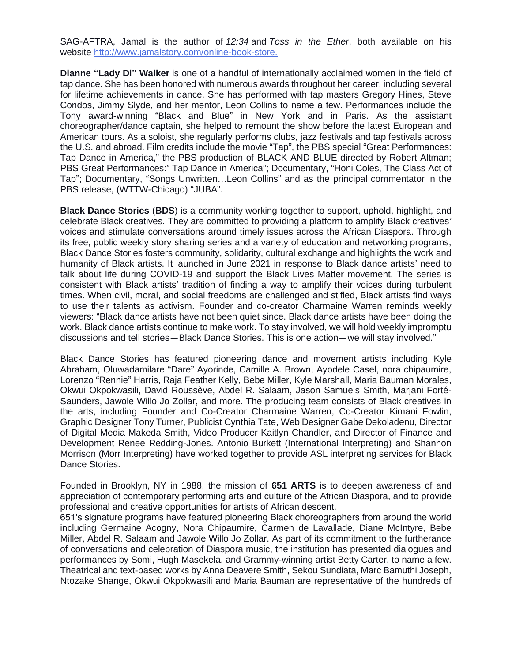SAG-AFTRA, Jamal is the author of *12:34* and *Toss in the Ether*, both available on his website <http://www.jamalstory.com/online-book-store.>

**Dianne "Lady Di" Walker** is one of a handful of internationally acclaimed women in the field of tap dance. She has been honored with numerous awards throughout her career, including several for lifetime achievements in dance. She has performed with tap masters Gregory Hines, Steve Condos, Jimmy Slyde, and her mentor, Leon Collins to name a few. Performances include the Tony award-winning "Black and Blue" in New York and in Paris. As the assistant choreographer/dance captain, she helped to remount the show before the latest European and American tours. As a soloist, she regularly performs clubs, jazz festivals and tap festivals across the U.S. and abroad. Film credits include the movie "Tap", the PBS special "Great Performances: Tap Dance in America," the PBS production of BLACK AND BLUE directed by Robert Altman; PBS Great Performances:" Tap Dance in America"; Documentary, "Honi Coles, The Class Act of Tap"; Documentary, "Songs Unwritten…Leon Collins" and as the principal commentator in the PBS release, (WTTW-Chicago) "JUBA".

**Black Dance Stories** (**BDS**) is a community working together to support, uphold, highlight, and celebrate Black creatives. They are committed to providing a platform to amplify Black creatives' voices and stimulate conversations around timely issues across the African Diaspora. Through its free, public weekly story sharing series and a variety of education and networking programs, Black Dance Stories fosters community, solidarity, cultural exchange and highlights the work and humanity of Black artists. It launched in June 2021 in response to Black dance artists' need to talk about life during COVID-19 and support the Black Lives Matter movement. The series is consistent with Black artists' tradition of finding a way to amplify their voices during turbulent times. When civil, moral, and social freedoms are challenged and stifled, Black artists find ways to use their talents as activism. Founder and co-creator Charmaine Warren reminds weekly viewers: "Black dance artists have not been quiet since. Black dance artists have been doing the work. Black dance artists continue to make work. To stay involved, we will hold weekly impromptu discussions and tell stories—Black Dance Stories. This is one action—we will stay involved."

Black Dance Stories has featured pioneering dance and movement artists including Kyle Abraham, Oluwadamilare "Dare" Ayorinde, Camille A. Brown, Ayodele Casel, nora chipaumire, Lorenzo "Rennie" Harris, Raja Feather Kelly, Bebe Miller, Kyle Marshall, Maria Bauman Morales, Okwui Okpokwasili, David Roussève, Abdel R. Salaam, Jason Samuels Smith, Marjani Forté-Saunders, Jawole Willo Jo Zollar, and more. The producing team consists of Black creatives in the arts, including Founder and Co-Creator Charmaine Warren, Co-Creator Kimani Fowlin, Graphic Designer Tony Turner, Publicist Cynthia Tate, Web Designer Gabe Dekoladenu, Director of Digital Media Makeda Smith, Video Producer Kaitlyn Chandler, and Director of Finance and Development Renee Redding-Jones. Antonio Burkett (International Interpreting) and Shannon Morrison (Morr Interpreting) have worked together to provide ASL interpreting services for Black Dance Stories.

Founded in Brooklyn, NY in 1988, the mission of **651 ARTS** is to deepen awareness of and appreciation of contemporary performing arts and culture of the African Diaspora, and to provide professional and creative opportunities for artists of African descent.

651's signature programs have featured pioneering Black choreographers from around the world including Germaine Acogny, Nora Chipaumire, Carmen de Lavallade, Diane McIntyre, Bebe Miller, Abdel R. Salaam and Jawole Willo Jo Zollar. As part of its commitment to the furtherance of conversations and celebration of Diaspora music, the institution has presented dialogues and performances by Somi, Hugh Masekela, and Grammy-winning artist Betty Carter, to name a few. Theatrical and text-based works by Anna Deavere Smith, Sekou Sundiata, Marc Bamuthi Joseph, Ntozake Shange, Okwui Okpokwasili and Maria Bauman are representative of the hundreds of